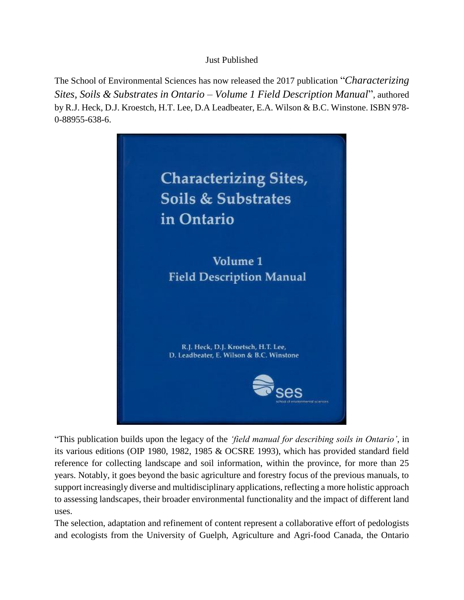## Just Published

The School of Environmental Sciences has now released the 2017 publication "*Characterizing Sites, Soils & Substrates in Ontario – Volume 1 Field Description Manual*", authored by R.J. Heck, D.J. Kroestch, H.T. Lee, D.A Leadbeater, E.A. Wilson & B.C. Winstone. ISBN 978- 0-88955-638-6.



"This publication builds upon the legacy of the *'field manual for describing soils in Ontario'*, in its various editions (OIP 1980, 1982, 1985 & OCSRE 1993), which has provided standard field reference for collecting landscape and soil information, within the province, for more than 25 years. Notably, it goes beyond the basic agriculture and forestry focus of the previous manuals, to support increasingly diverse and multidisciplinary applications, reflecting a more holistic approach to assessing landscapes, their broader environmental functionality and the impact of different land uses.

The selection, adaptation and refinement of content represent a collaborative effort of pedologists and ecologists from the University of Guelph, Agriculture and Agri-food Canada, the Ontario